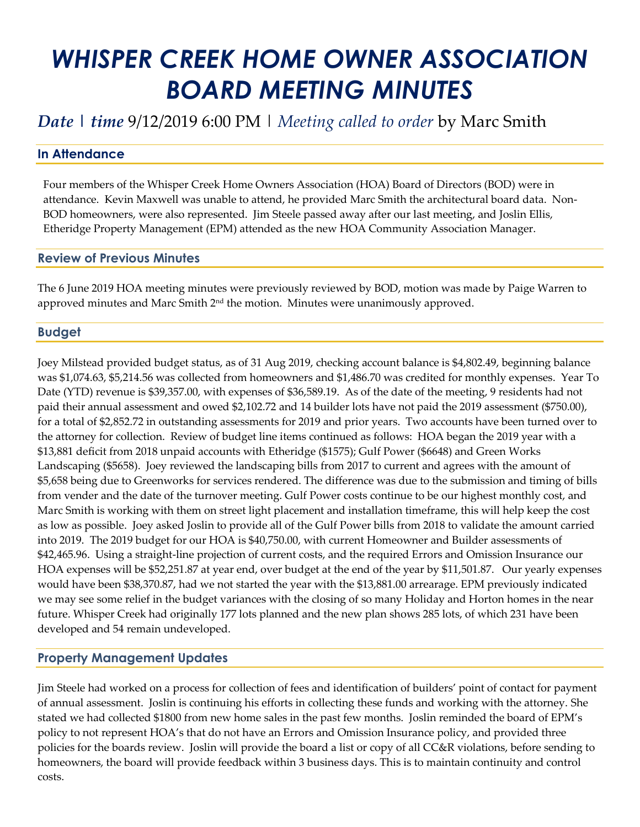# *WHISPER CREEK HOME OWNER ASSOCIATION BOARD MEETING MINUTES*

# *Date | time* 9/12/2019 6:00 PM | *Meeting called to order* by Marc Smith

# **In Attendance**

Four members of the Whisper Creek Home Owners Association (HOA) Board of Directors (BOD) were in attendance. Kevin Maxwell was unable to attend, he provided Marc Smith the architectural board data. Non-BOD homeowners, were also represented. Jim Steele passed away after our last meeting, and Joslin Ellis, Etheridge Property Management (EPM) attended as the new HOA Community Association Manager.

#### **Review of Previous Minutes**

The 6 June 2019 HOA meeting minutes were previously reviewed by BOD, motion was made by Paige Warren to approved minutes and Marc Smith 2 $^{\rm nd}$  the motion. Minutes were unanimously approved.

#### **Budget**

Joey Milstead provided budget status, as of 31 Aug 2019, checking account balance is \$4,802.49, beginning balance was \$1,074.63, \$5,214.56 was collected from homeowners and \$1,486.70 was credited for monthly expenses. Year To Date (YTD) revenue is \$39,357.00, with expenses of \$36,589.19. As of the date of the meeting, 9 residents had not paid their annual assessment and owed \$2,102.72 and 14 builder lots have not paid the 2019 assessment (\$750.00), for a total of \$2,852.72 in outstanding assessments for 2019 and prior years. Two accounts have been turned over to the attorney for collection. Review of budget line items continued as follows: HOA began the 2019 year with a \$13,881 deficit from 2018 unpaid accounts with Etheridge (\$1575); Gulf Power (\$6648) and Green Works Landscaping (\$5658). Joey reviewed the landscaping bills from 2017 to current and agrees with the amount of \$5,658 being due to Greenworks for services rendered. The difference was due to the submission and timing of bills from vender and the date of the turnover meeting. Gulf Power costs continue to be our highest monthly cost, and Marc Smith is working with them on street light placement and installation timeframe, this will help keep the cost as low as possible. Joey asked Joslin to provide all of the Gulf Power bills from 2018 to validate the amount carried into 2019. The 2019 budget for our HOA is \$40,750.00, with current Homeowner and Builder assessments of \$42,465.96. Using a straight-line projection of current costs, and the required Errors and Omission Insurance our HOA expenses will be \$52,251.87 at year end, over budget at the end of the year by \$11,501.87. Our yearly expenses would have been \$38,370.87, had we not started the year with the \$13,881.00 arrearage. EPM previously indicated we may see some relief in the budget variances with the closing of so many Holiday and Horton homes in the near future. Whisper Creek had originally 177 lots planned and the new plan shows 285 lots, of which 231 have been developed and 54 remain undeveloped.

## **Property Management Updates**

Jim Steele had worked on a process for collection of fees and identification of builders' point of contact for payment of annual assessment. Joslin is continuing his efforts in collecting these funds and working with the attorney. She stated we had collected \$1800 from new home sales in the past few months. Joslin reminded the board of EPM's policy to not represent HOA's that do not have an Errors and Omission Insurance policy, and provided three policies for the boards review. Joslin will provide the board a list or copy of all CC&R violations, before sending to homeowners, the board will provide feedback within 3 business days. This is to maintain continuity and control costs.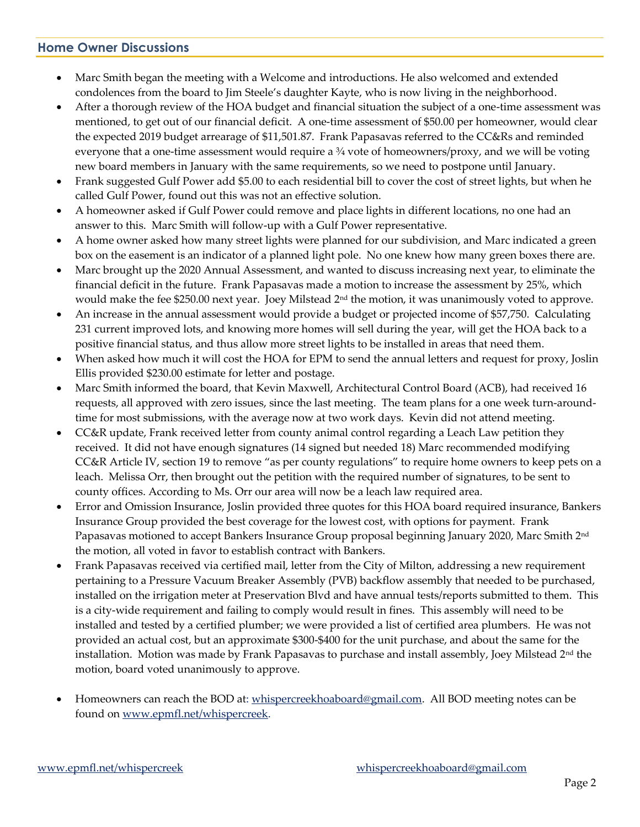#### **Home Owner Discussions**

- Marc Smith began the meeting with a Welcome and introductions. He also welcomed and extended condolences from the board to Jim Steele's daughter Kayte, who is now living in the neighborhood.
- After a thorough review of the HOA budget and financial situation the subject of a one-time assessment was mentioned, to get out of our financial deficit. A one-time assessment of \$50.00 per homeowner, would clear the expected 2019 budget arrearage of \$11,501.87. Frank Papasavas referred to the CC&Rs and reminded everyone that a one-time assessment would require a ¾ vote of homeowners/proxy, and we will be voting new board members in January with the same requirements, so we need to postpone until January.
- Frank suggested Gulf Power add \$5.00 to each residential bill to cover the cost of street lights, but when he called Gulf Power, found out this was not an effective solution.
- A homeowner asked if Gulf Power could remove and place lights in different locations, no one had an answer to this. Marc Smith will follow-up with a Gulf Power representative.
- A home owner asked how many street lights were planned for our subdivision, and Marc indicated a green box on the easement is an indicator of a planned light pole. No one knew how many green boxes there are.
- Marc brought up the 2020 Annual Assessment, and wanted to discuss increasing next year, to eliminate the financial deficit in the future. Frank Papasavas made a motion to increase the assessment by 25%, which would make the fee \$250.00 next year. Joey Milstead 2<sup>nd</sup> the motion, it was unanimously voted to approve.
- An increase in the annual assessment would provide a budget or projected income of \$57,750. Calculating 231 current improved lots, and knowing more homes will sell during the year, will get the HOA back to a positive financial status, and thus allow more street lights to be installed in areas that need them.
- When asked how much it will cost the HOA for EPM to send the annual letters and request for proxy, Joslin Ellis provided \$230.00 estimate for letter and postage.
- Marc Smith informed the board, that Kevin Maxwell, Architectural Control Board (ACB), had received 16 requests, all approved with zero issues, since the last meeting. The team plans for a one week turn-aroundtime for most submissions, with the average now at two work days. Kevin did not attend meeting.
- CC&R update, Frank received letter from county animal control regarding a Leach Law petition they received. It did not have enough signatures (14 signed but needed 18) Marc recommended modifying CC&R Article IV, section 19 to remove "as per county regulations" to require home owners to keep pets on a leach. Melissa Orr, then brought out the petition with the required number of signatures, to be sent to county offices. According to Ms. Orr our area will now be a leach law required area.
- Error and Omission Insurance, Joslin provided three quotes for this HOA board required insurance, Bankers Insurance Group provided the best coverage for the lowest cost, with options for payment. Frank Papasavas motioned to accept Bankers Insurance Group proposal beginning January 2020, Marc Smith 2<sup>nd</sup> the motion, all voted in favor to establish contract with Bankers.
- Frank Papasavas received via certified mail, letter from the City of Milton, addressing a new requirement pertaining to a Pressure Vacuum Breaker Assembly (PVB) backflow assembly that needed to be purchased, installed on the irrigation meter at Preservation Blvd and have annual tests/reports submitted to them. This is a city-wide requirement and failing to comply would result in fines. This assembly will need to be installed and tested by a certified plumber; we were provided a list of certified area plumbers. He was not provided an actual cost, but an approximate \$300-\$400 for the unit purchase, and about the same for the installation. Motion was made by Frank Papasavas to purchase and install assembly, Joey Milstead  $2<sup>nd</sup>$  the motion, board voted unanimously to approve.
- Homeowners can reach the BOD at[: whispercreekhoaboard@gmail.com.](mailto:whispercreekhoaboard@gmail.com) All BOD meeting notes can be found on [www.epmfl.net/whispercreek.](http://www.epmfl.net/whispercreek)